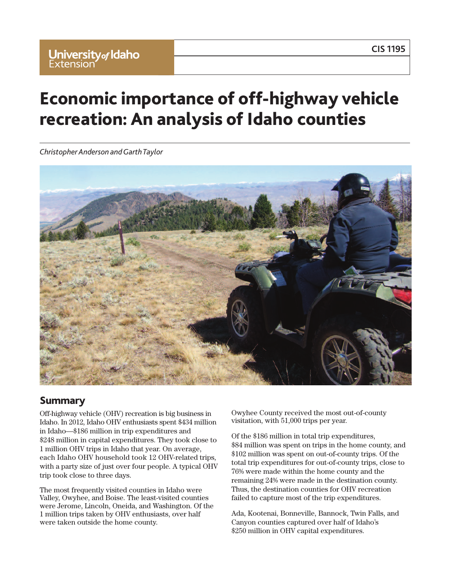## **CIS 1195**

# **Economic importance of off-highway vehicle recreation: An analysis of Idaho counties**

*Christopher Anderson andGarthTaylor*



### **Summary**

Off-highway vehicle (OHV) recreation is big business in Idaho. In 2012, Idaho OHV enthusiasts spent \$434 million in Idaho—\$186 million in trip expenditures and \$248 million in capital expenditures. They took close to 1 million OHV trips in Idaho that year. On average, each Idaho OHV household took 12 OHV-related trips, with a party size of just over four people. A typical OHV trip took close to three days.

The most frequently visited counties in Idaho were Valley, Owyhee, and Boise. The least-visited counties were Jerome, Lincoln, Oneida, and Washington. Of the 1 million trips taken by OHV enthusiasts, over half were taken outside the home county.

Owyhee County received the most out-of-county visitation, with 51,000 trips per year.

Of the \$186 million in total trip expenditures, \$84 million was spent on trips in the home county, and \$102 million was spent on out-of-county trips. Of the total trip expenditures for out-of-county trips, close to 76% were made within the home county and the remaining 24% were made in the destination county. Thus, the destination counties for OHV recreation failed to capture most of the trip expenditures.

Ada, Kootenai, Bonneville, Bannock, Twin Falls, and Canyon counties captured over half of Idaho's \$250 million in OHV capital expenditures.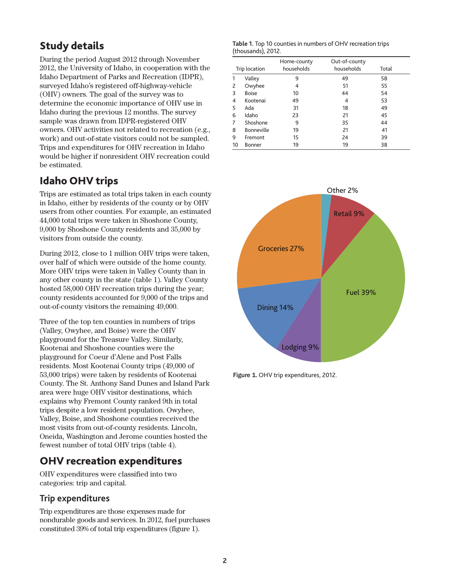# **Study details**

During the period August 2012 through November 2012, the University of Idaho, in cooperation with the Idaho Department of Parks and Recreation (IDPR), surveyed Idaho's registered off-highway-vehicle (OHV) owners. The goal of the survey was to determine the economic importance of OHV use in Idaho during the previous 12 months. The survey sample was drawn from IDPR-registered OHV owners. OHV activities not related to recreation (e.g., work) and out-of-state visitors could not be sampled. Trips and expenditures for OHV recreation in Idaho would be higher if nonresident OHV recreation could be estimated.

# **Idaho OHV trips**

Trips are estimated as total trips taken in each county in Idaho, either by residents of the county or by OHV users from other counties. For example, an estimated 44,000 total trips were taken in Shoshone County, 9,000 by Shoshone County residents and 35,000 by visitors from outside the county.

During 2012, close to 1 million OHV trips were taken, over half of which were outside of the home county. More OHV trips were taken in Valley County than in any other county in the state (table 1). Valley County hosted 58,000 OHV recreation trips during the year; county residents accounted for 9,000 of the trips and out-of-county visitors the remaining 49,000.

Three of the top ten counties in numbers of trips (Valley, Owyhee, and Boise) were the OHV playground for the Treasure Valley. Similarly, Kootenai and Shoshone counties were the playground for Coeur d'Alene and Post Falls residents. Most Kootenai County trips (49,000 of 53,000 trips) were taken by residents of Kootenai County. The St. Anthony Sand Dunes and Island Park area were huge OHV visitor destinations, which explains why Fremont County ranked 9th in total trips despite a low resident population. Owyhee, Valley, Boise, and Shoshone counties received the most visits from out-of-county residents. Lincoln, Oneida, Washington and Jerome counties hosted the fewest number of total OHV trips (table 4).

## **OHV recreation expenditures**

OHV expenditures were classified into two categories: trip and capital.

### **Trip expenditures**

Trip expenditures are those expenses made for nondurable goods and services. In 2012, fuel purchases constituted 39% of total trip expenditures (figure 1).

| Table 1. Top 10 counties in numbers of OHV recreation trips |  |
|-------------------------------------------------------------|--|
| (thousands), 2012.                                          |  |

| Trip location |                   | Home-county<br>households | Out-of-county<br>households | Total |
|---------------|-------------------|---------------------------|-----------------------------|-------|
| Valley        |                   | 9                         | 49                          | 58    |
|               | Owyhee            | 4                         | 51                          | 55    |
| 3             | <b>Boise</b>      | 10                        | 44                          | 54    |
| 4             | Kootenai          | 49                        | 4                           | 53    |
| 5             | Ada               | 31                        | 18                          | 49    |
| 6             | Idaho             | 23                        | 21                          | 45    |
| 7             | Shoshone          | 9                         | 35                          | 44    |
| 8             | <b>Bonneville</b> | 19                        | 21                          | 41    |
| 9             | Fremont           | 15                        | 24                          | 39    |
| 10            | Bonner            | 19                        | 19                          | 38    |

![](_page_1_Figure_12.jpeg)

Figure 1. OHV trip expenditures, 2012.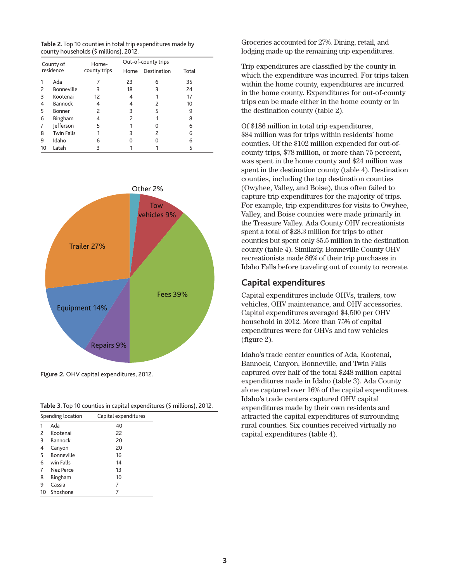**Table 2.** Top 10 counties in total trip expenditures made by county households (\$ millions), 2012.

| County of<br>residence |                   | Home-        |      | Out-of-county trips |       |
|------------------------|-------------------|--------------|------|---------------------|-------|
|                        |                   | county trips | Home | Destination         | Total |
|                        | Ada               |              | 23   | 6                   | 35    |
| 2                      | Bonneville        | 3            | 18   | 3                   | 24    |
| 3                      | Kootenai          | 12           |      |                     | 17    |
| 4                      | Bannock           | 4            |      | 2                   | 10    |
| 5                      | Bonner            | 2            | З    | 5                   | 9     |
| 6                      | Bingham           | 4            | 2    |                     | 8     |
| 7                      | Jefferson         | 5            |      | O                   | 6     |
| 8                      | <b>Twin Falls</b> |              | 3    | 2                   | 6     |
| 9                      | Idaho             | 6            |      | O                   | 6     |
| 10                     | Latah             |              |      |                     | 5     |

![](_page_2_Figure_2.jpeg)

Figure 2. OHV capital expenditures, 2012.

|  |  |  |  |  |  | Table 3. Top 10 counties in capital expenditures (\$ millions), 2012. |
|--|--|--|--|--|--|-----------------------------------------------------------------------|
|--|--|--|--|--|--|-----------------------------------------------------------------------|

|                | Spending location | Capital expenditures |  |  |  |  |
|----------------|-------------------|----------------------|--|--|--|--|
| 1              | Ada               | 40                   |  |  |  |  |
| 2              | Kootenai          | 22                   |  |  |  |  |
| 3              | Bannock           | 20                   |  |  |  |  |
| 4              | Canyon            | 20                   |  |  |  |  |
| 5              | Bonneville        | 16                   |  |  |  |  |
| 6              | win Falls         | 14                   |  |  |  |  |
| 7              | Nez Perce         | 13                   |  |  |  |  |
| 8              | Bingham           | 10                   |  |  |  |  |
| 9              | Cassia            | 7                    |  |  |  |  |
| Shoshone<br>10 |                   |                      |  |  |  |  |

Groceries accounted for 27%. Dining, retail, and lodging made up the remaining trip expenditures.

Trip expenditures are classified by the county in which the expenditure was incurred. For trips taken within the home county, expenditures are incurred in the home county. Expenditures for out-of-county trips can be made either in the home county or in the destination county (table 2).

Of \$186 million in total trip expenditures, \$84 million was for trips within residents' home counties. Of the \$102 million expended for out-ofcounty trips, \$78 million, or more than 75 percent, was spent in the home county and \$24 million was spent in the destination county (table 4). Destination counties, including the top destination counties (Owyhee, Valley, and Boise), thus often failed to capture trip expenditures for the majority of trips. For example, trip expenditures for visits to Owyhee, Valley, and Boise counties were made primarily in the Treasure Valley. Ada County OHV recreationists spent a total of \$28.3 million for trips to other counties but spent only \$5.5 million in the destination county (table 4). Similarly, Bonneville County OHV recreationists made 86% of their trip purchases in Idaho Falls before traveling out of county to recreate.

#### **Capital expenditures**

Capital expenditures include OHVs, trailers, tow vehicles, OHV maintenance, and OHV accessories. Capital expenditures averaged \$4,500 per OHV household in 2012. More than 75% of capital expenditures were for OHVs and tow vehicles (figure 2).

Idaho's trade center counties of Ada, Kootenai, Bannock, Canyon, Bonneville, and Twin Falls captured over half of the total \$248 million capital expenditures made in Idaho (table 3). Ada County alone captured over 16% of the capital expenditures. Idaho's trade centers captured OHV capital expenditures made by their own residents and attracted the capital expenditures of surrounding rural counties. Six counties received virtually no capital expenditures (table 4).